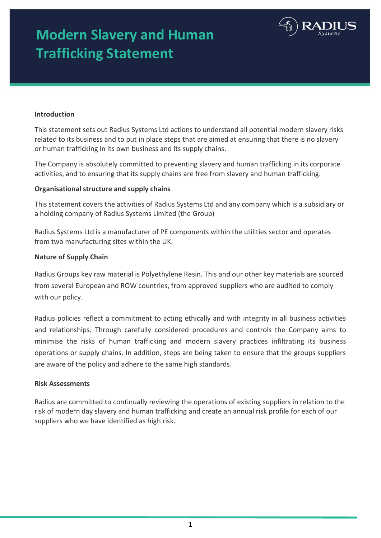# **Modern Slavery and Human Trafficking Statement**



### **Introduction**

This statement sets out Radius Systems Ltd actions to understand all potential modern slavery risks related to its business and to put in place steps that are aimed at ensuring that there is no slavery or human trafficking in its own business and its supply chains.

The Company is absolutely committed to preventing slavery and human trafficking in its corporate activities, and to ensuring that its supply chains are free from slavery and human trafficking.

### **Organisational structure and supply chains**

This statement covers the activities of Radius Systems Ltd and any company which is a subsidiary or a holding company of Radius Systems Limited (the Group)

Radius Systems Ltd is a manufacturer of PE components within the utilities sector and operates from two manufacturing sites within the UK.

### **Nature of Supply Chain**

Radius Groups key raw material is Polyethylene Resin. This and our other key materials are sourced from several European and ROW countries, from approved suppliers who are audited to comply with our policy.

Radius policies reflect a commitment to acting ethically and with integrity in all business activities and relationships. Through carefully considered procedures and controls the Company aims to minimise the risks of human trafficking and modern slavery practices infiltrating its business operations or supply chains. In addition, steps are being taken to ensure that the groups suppliers are aware of the policy and adhere to the same high standards.

### **Risk Assessments**

Radius are committed to continually reviewing the operations of existing suppliers in relation to the risk of modern day slavery and human trafficking and create an annual risk profile for each of our suppliers who we have identified as high risk.